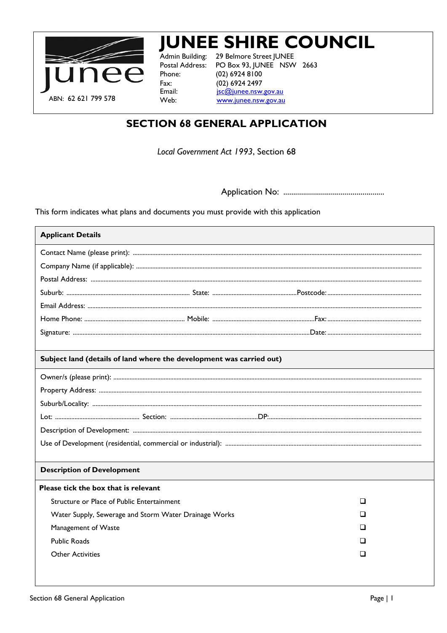

# **JUNEE SHIRE COUNCIL**

Admin Building: Postal Address: Phone: Fax: Email: Web:

29 Belmore Street JUNEE PO Box 93, JUNEE NSW 2663 (02) 6924 8100 (02) 6924 2497 jsc@junee.nsw.gov.au www.junee.nsw.gov.au

# **SECTION 68 GENERAL APPLICATION**

Local Government Act 1993, Section 68

This form indicates what plans and documents you must provide with this application

| <b>Applicant Details</b>                                             |  |   |
|----------------------------------------------------------------------|--|---|
|                                                                      |  |   |
|                                                                      |  |   |
|                                                                      |  |   |
|                                                                      |  |   |
|                                                                      |  |   |
|                                                                      |  |   |
|                                                                      |  |   |
|                                                                      |  |   |
| Subject land (details of land where the development was carried out) |  |   |
|                                                                      |  |   |
|                                                                      |  |   |
|                                                                      |  |   |
|                                                                      |  |   |
|                                                                      |  |   |
|                                                                      |  |   |
|                                                                      |  |   |
| <b>Description of Development</b>                                    |  |   |
| Please tick the box that is relevant                                 |  |   |
| Structure or Place of Public Entertainment                           |  | ⊔ |
| Water Supply, Sewerage and Storm Water Drainage Works                |  | ப |
| Management of Waste                                                  |  | □ |
| <b>Public Roads</b>                                                  |  | ப |
| <b>Other Activities</b>                                              |  | ப |
|                                                                      |  |   |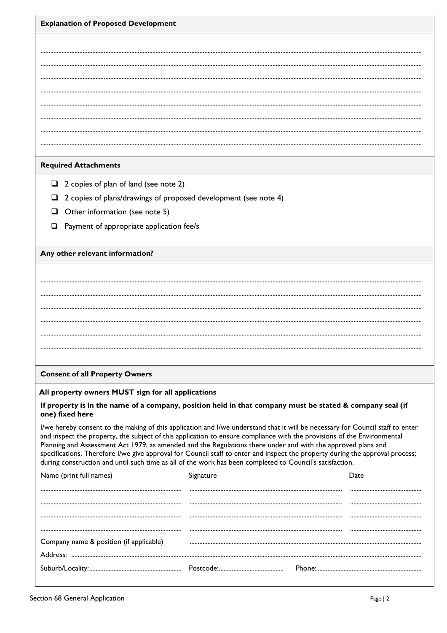| <b>Explanation of Proposed Development</b> |  |  |
|--------------------------------------------|--|--|
|                                            |  |  |

# **Required Attachments**

- $\Box$  2 copies of plan of land (see note 2)
- $\Box$  2 copies of plans/drawings of proposed development (see note 4)
- $\Box$  Other information (see note 5)
- $\Box$  Payment of appropriate application fee/s

# Any other relevant information?

# **Consent of all Property Owners**

# All property owners MUST sign for all applications

#### If property is in the name of a company, position held in that company must be stated & company seal (if one) fixed here

I/we hereby consent to the making of this application and I/we understand that it will be necessary for Council staff to enter and inspect the property, the subject of this application to ensure compliance with the provisions of the Environmental Planning and Assessment Act 1979, as amended and the Regulations there under and with the approved plans and specifications. Therefore I/we give approval for Council staff to enter and inspect the property during the approval process; during construction and until such time as all of the work has been completed to Council's satisfaction.

| Name (print full names)                 | Signature |  |
|-----------------------------------------|-----------|--|
|                                         |           |  |
|                                         |           |  |
|                                         |           |  |
|                                         |           |  |
| Company name & position (if applicable) |           |  |
| Address:                                |           |  |
|                                         |           |  |
|                                         |           |  |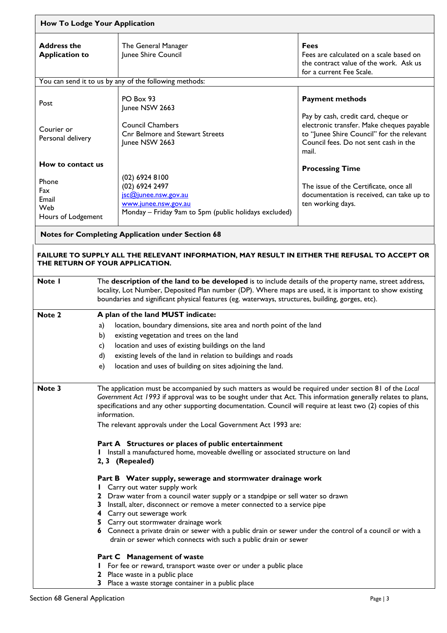| How To Lodge Your Application                      |                                                                                                                                                                                                                                                                                                                                                                                                                           |                                                                                                                                                                                                                                                                                                                                                                                                                                                                                                               |                                                                                                                                                                                 |  |
|----------------------------------------------------|---------------------------------------------------------------------------------------------------------------------------------------------------------------------------------------------------------------------------------------------------------------------------------------------------------------------------------------------------------------------------------------------------------------------------|---------------------------------------------------------------------------------------------------------------------------------------------------------------------------------------------------------------------------------------------------------------------------------------------------------------------------------------------------------------------------------------------------------------------------------------------------------------------------------------------------------------|---------------------------------------------------------------------------------------------------------------------------------------------------------------------------------|--|
| <b>Address the</b><br><b>Application to</b>        |                                                                                                                                                                                                                                                                                                                                                                                                                           | The General Manager<br>Junee Shire Council                                                                                                                                                                                                                                                                                                                                                                                                                                                                    | <b>Fees</b><br>Fees are calculated on a scale based on<br>the contract value of the work. Ask us<br>for a current Fee Scale.                                                    |  |
|                                                    |                                                                                                                                                                                                                                                                                                                                                                                                                           | You can send it to us by any of the following methods:                                                                                                                                                                                                                                                                                                                                                                                                                                                        |                                                                                                                                                                                 |  |
| Post                                               |                                                                                                                                                                                                                                                                                                                                                                                                                           | PO Box 93<br>Junee NSW 2663                                                                                                                                                                                                                                                                                                                                                                                                                                                                                   | <b>Payment methods</b>                                                                                                                                                          |  |
| Courier or<br>Personal delivery                    |                                                                                                                                                                                                                                                                                                                                                                                                                           | <b>Council Chambers</b><br><b>Cnr Belmore and Stewart Streets</b><br>Junee NSW 2663                                                                                                                                                                                                                                                                                                                                                                                                                           | Pay by cash, credit card, cheque or<br>electronic transfer. Make cheques payable<br>to "Junee Shire Council" for the relevant<br>Council fees. Do not sent cash in the<br>mail. |  |
| How to contact us                                  |                                                                                                                                                                                                                                                                                                                                                                                                                           |                                                                                                                                                                                                                                                                                                                                                                                                                                                                                                               | <b>Processing Time</b>                                                                                                                                                          |  |
| Phone<br>Fax<br>Email<br>Web<br>Hours of Lodgement |                                                                                                                                                                                                                                                                                                                                                                                                                           | (02) 6924 8100<br>(02) 6924 2497<br>jsc@junee.nsw.gov.au<br>www.junee.nsw.gov.au<br>Monday - Friday 9am to 5pm (public holidays excluded)                                                                                                                                                                                                                                                                                                                                                                     | The issue of the Certificate, once all<br>documentation is received, can take up to<br>ten working days.                                                                        |  |
|                                                    |                                                                                                                                                                                                                                                                                                                                                                                                                           | <b>Notes for Completing Application under Section 68</b>                                                                                                                                                                                                                                                                                                                                                                                                                                                      |                                                                                                                                                                                 |  |
|                                                    |                                                                                                                                                                                                                                                                                                                                                                                                                           | FAILURE TO SUPPLY ALL THE RELEVANT INFORMATION, MAY RESULT IN EITHER THE REFUSAL TO ACCEPT OR<br>THE RETURN OF YOUR APPLICATION.                                                                                                                                                                                                                                                                                                                                                                              |                                                                                                                                                                                 |  |
| Note I                                             | The description of the land to be developed is to include details of the property name, street address,<br>locality, Lot Number, Deposited Plan number (DP). Where maps are used, it is important to show existing<br>boundaries and significant physical features (eg. waterways, structures, building, gorges, etc).                                                                                                    |                                                                                                                                                                                                                                                                                                                                                                                                                                                                                                               |                                                                                                                                                                                 |  |
| Note 2                                             |                                                                                                                                                                                                                                                                                                                                                                                                                           | A plan of the land MUST indicate:                                                                                                                                                                                                                                                                                                                                                                                                                                                                             |                                                                                                                                                                                 |  |
|                                                    | a)                                                                                                                                                                                                                                                                                                                                                                                                                        | location, boundary dimensions, site area and north point of the land                                                                                                                                                                                                                                                                                                                                                                                                                                          |                                                                                                                                                                                 |  |
|                                                    | b)                                                                                                                                                                                                                                                                                                                                                                                                                        | existing vegetation and trees on the land                                                                                                                                                                                                                                                                                                                                                                                                                                                                     |                                                                                                                                                                                 |  |
|                                                    | c)                                                                                                                                                                                                                                                                                                                                                                                                                        | location and uses of existing buildings on the land                                                                                                                                                                                                                                                                                                                                                                                                                                                           |                                                                                                                                                                                 |  |
|                                                    | existing levels of the land in relation to buildings and roads<br>d)                                                                                                                                                                                                                                                                                                                                                      |                                                                                                                                                                                                                                                                                                                                                                                                                                                                                                               |                                                                                                                                                                                 |  |
|                                                    | e)                                                                                                                                                                                                                                                                                                                                                                                                                        | location and uses of building on sites adjoining the land.                                                                                                                                                                                                                                                                                                                                                                                                                                                    |                                                                                                                                                                                 |  |
| Note 3                                             | The application must be accompanied by such matters as would be required under section 81 of the Local<br>Government Act 1993 if approval was to be sought under that Act. This information generally relates to plans,<br>specifications and any other supporting documentation. Council will require at least two (2) copies of this<br>information.<br>The relevant approvals under the Local Government Act 1993 are: |                                                                                                                                                                                                                                                                                                                                                                                                                                                                                                               |                                                                                                                                                                                 |  |
|                                                    |                                                                                                                                                                                                                                                                                                                                                                                                                           | Part A Structures or places of public entertainment<br>Install a manufactured home, moveable dwelling or associated structure on land<br>2, 3 (Repealed)                                                                                                                                                                                                                                                                                                                                                      |                                                                                                                                                                                 |  |
|                                                    |                                                                                                                                                                                                                                                                                                                                                                                                                           | Part B Water supply, sewerage and stormwater drainage work<br>Carry out water supply work<br>2 Draw water from a council water supply or a standpipe or sell water so drawn<br>3 Install, alter, disconnect or remove a meter connected to a service pipe<br>4 Carry out sewerage work<br>5 Carry out stormwater drainage work<br>6 Connect a private drain or sewer with a public drain or sewer under the control of a council or with a<br>drain or sewer which connects with such a public drain or sewer |                                                                                                                                                                                 |  |
|                                                    |                                                                                                                                                                                                                                                                                                                                                                                                                           | Part C Management of waste                                                                                                                                                                                                                                                                                                                                                                                                                                                                                    |                                                                                                                                                                                 |  |
|                                                    |                                                                                                                                                                                                                                                                                                                                                                                                                           | For fee or reward, transport waste over or under a public place                                                                                                                                                                                                                                                                                                                                                                                                                                               |                                                                                                                                                                                 |  |
|                                                    |                                                                                                                                                                                                                                                                                                                                                                                                                           | Place waste in a public place<br>3 Place a waste storage container in a public place                                                                                                                                                                                                                                                                                                                                                                                                                          |                                                                                                                                                                                 |  |
|                                                    |                                                                                                                                                                                                                                                                                                                                                                                                                           |                                                                                                                                                                                                                                                                                                                                                                                                                                                                                                               |                                                                                                                                                                                 |  |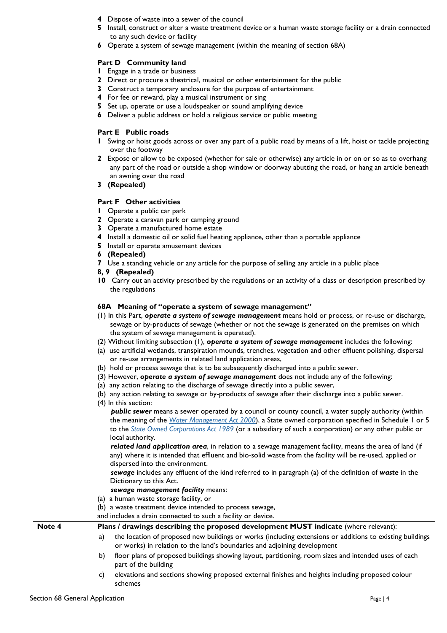- **4** Dispose of waste into a sewer of the council
- **5** Install, construct or alter a waste treatment device or a human waste storage facility or a drain connected to any such device or facility
- **6** Operate a system of sewage management (within the meaning of section 68A)

#### **Part D Community land**

- **1** Engage in a trade or business
- **2** Direct or procure a theatrical, musical or other entertainment for the public
- **3** Construct a temporary enclosure for the purpose of entertainment
- **4** For fee or reward, play a musical instrument or sing
- **5** Set up, operate or use a loudspeaker or sound amplifying device
- **6** Deliver a public address or hold a religious service or public meeting

#### **Part E Public roads**

- **1** Swing or hoist goods across or over any part of a public road by means of a lift, hoist or tackle projecting over the footway
- **2** Expose or allow to be exposed (whether for sale or otherwise) any article in or on or so as to overhang any part of the road or outside a shop window or doorway abutting the road, or hang an article beneath an awning over the road
- **3 (Repealed)**

#### **Part F Other activities**

- **1** Operate a public car park
- **2** Operate a caravan park or camping ground
- **3** Operate a manufactured home estate
- **4** Install a domestic oil or solid fuel heating appliance, other than a portable appliance
- **5** Install or operate amusement devices
- **6 (Repealed)**
- **7** Use a standing vehicle or any article for the purpose of selling any article in a public place
- **8, 9 (Repealed)**
- **10** Carry out an activity prescribed by the regulations or an activity of a class or description prescribed by the regulations

#### **68A Meaning of "operate a system of sewage management"**

- (1) In this Part, *operate a system of sewage management* means hold or process, or re-use or discharge, sewage or by-products of sewage (whether or not the sewage is generated on the premises on which the system of sewage management is operated).
- (2) Without limiting subsection (1), *operate a system of sewage management* includes the following:
- (a) use artificial wetlands, transpiration mounds, trenches, vegetation and other effluent polishing, dispersal or re-use arrangements in related land application areas,
- (b) hold or process sewage that is to be subsequently discharged into a public sewer.
- (3) However, *operate a system of sewage management* does not include any of the following:
- (a) any action relating to the discharge of sewage directly into a public sewer,
- (b) any action relating to sewage or by-products of sewage after their discharge into a public sewer.
- (4) In this section:

*public sewer* means a sewer operated by a council or county council, a water supply authority (within the meaning of the *[Water Management Act 2000](http://www.legislation.nsw.gov.au/#/view/act/2000/92)*), a State owned corporation specified in Schedule 1 or 5 to the *[State Owned Corporations Act 1989](http://www.legislation.nsw.gov.au/#/view/act/1989/134)* (or a subsidiary of such a corporation) or any other public or local authority.

*related land application area*, in relation to a sewage management facility, means the area of land (if any) where it is intended that effluent and bio-solid waste from the facility will be re-used, applied or dispersed into the environment.

*sewage* includes any effluent of the kind referred to in paragraph (a) of the definition of *waste* in the Dictionary to this Act.

#### *sewage management facility* means:

- (a) a human waste storage facility, or
- (b) a waste treatment device intended to process sewage,
- and includes a drain connected to such a facility or device.

Note 4 **Plans / drawings describing the proposed development MUST indicate (where relevant):** 

a) the location of proposed new buildings or works (including extensions or additions to existing buildings or works) in relation to the land's boundaries and adjoining development

- b) floor plans of proposed buildings showing layout, partitioning, room sizes and intended uses of each part of the building
- c) elevations and sections showing proposed external finishes and heights including proposed colour schemes